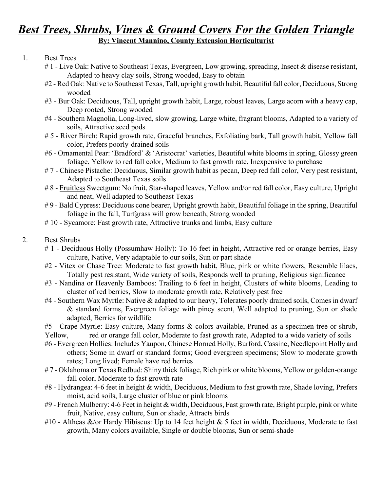## *Best Trees, Shrubs, Vines & Ground Covers For the Golden Triangle* **By: Vincent Mannino, County Extension Horticulturist**

## 1. Best Trees

- #1 Live Oak: Native to Southeast Texas, Evergreen, Low growing, spreading, Insect & disease resistant, Adapted to heavy clay soils, Strong wooded, Easy to obtain
- #2 Red Oak: Native to Southeast Texas, Tall, upright growth habit, Beautiful fall color, Deciduous, Strong wooded
- #3 Bur Oak: Deciduous, Tall, upright growth habit, Large, robust leaves, Large acorn with a heavy cap, Deep rooted, Strong wooded
- #4 Southern Magnolia, Long-lived, slow growing, Large white, fragrant blooms, Adapted to a variety of soils, Attractive seed pods
- # 5 River Birch: Rapid growth rate, Graceful branches, Exfoliating bark, Tall growth habit, Yellow fall color, Prefers poorly-drained soils
- #6 Ornamental Pear: 'Bradford' & 'Aristocrat' varieties, Beautiful white blooms in spring, Glossy green foliage, Yellow to red fall color, Medium to fast growth rate, Inexpensive to purchase
- # 7 Chinese Pistache: Deciduous, Similar growth habit as pecan, Deep red fall color, Very pest resistant, Adapted to Southeast Texas soils
- # 8 Fruitless Sweetgum: No fruit, Star-shaped leaves, Yellow and/or red fall color, Easy culture, Upright and neat, Well adapted to Southeast Texas
- # 9 Bald Cypress: Deciduous cone bearer, Upright growth habit, Beautiful foliage in the spring, Beautiful foliage in the fall, Turfgrass will grow beneath, Strong wooded
- # 10 Sycamore: Fast growth rate, Attractive trunks and limbs, Easy culture

## 2. Best Shrubs

- # 1 Deciduous Holly (Possumhaw Holly): To 16 feet in height, Attractive red or orange berries, Easy culture, Native, Very adaptable to our soils, Sun or part shade
- #2 Vitex or Chase Tree: Moderate to fast growth habit, Blue, pink or white flowers, Resemble lilacs, Totally pest resistant, Wide variety of soils, Responds well to pruning, Religious significance
- #3 Nandina or Heavenly Bamboos: Trailing to 6 feet in height, Clusters of white blooms, Leading to cluster of red berries, Slow to moderate growth rate, Relatively pest free
- #4 Southern Wax Myrtle: Native & adapted to our heavy, Tolerates poorly drained soils, Comes in dwarf & standard forms, Evergreen foliage with piney scent, Well adapted to pruning, Sun or shade adapted, Berries for wildlife
- #5 Crape Myrtle: Easy culture, Many forms & colors available, Pruned as a specimen tree or shrub,
- Yellow, red or orange fall color, Moderate to fast growth rate, Adapted to a wide variety of soils
- #6 Evergreen Hollies: Includes Yaupon, Chinese Horned Holly, Burford, Cassine, Needlepoint Holly and others; Some in dwarf or standard forms; Good evergreen specimens; Slow to moderate growth rates; Long lived; Female have red berries
- # 7 Oklahoma or Texas Redbud: Shiny thick foliage, Rich pink or white blooms, Yellow or golden-orange fall color, Moderate to fast growth rate
- #8 Hydrangea: 4-6 feet in height & width, Deciduous, Medium to fast growth rate, Shade loving, Prefers moist, acid soils, Large cluster of blue or pink blooms
- #9 French Mulberry: 4-6 Feet in height & width, Deciduous, Fast growth rate, Bright purple, pink or white fruit, Native, easy culture, Sun or shade, Attracts birds
- #10 Altheas  $\&$ /or Hardy Hibiscus: Up to 14 feet height  $\&$  5 feet in width, Deciduous, Moderate to fast growth, Many colors available, Single or double blooms, Sun or semi-shade